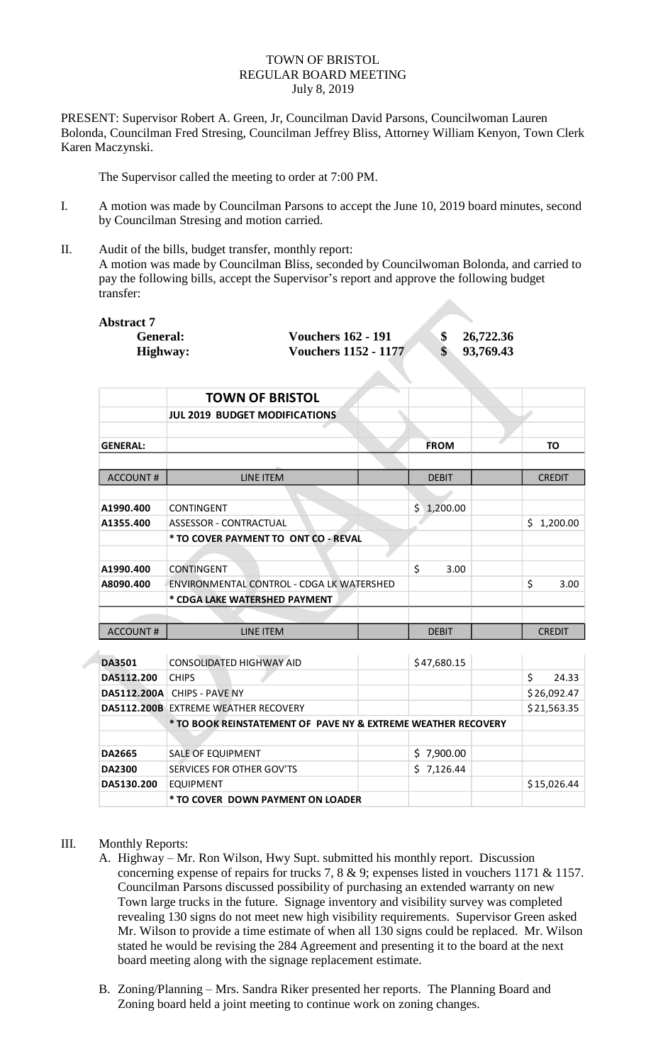## TOWN OF BRISTOL REGULAR BOARD MEETING July 8, 2019

PRESENT: Supervisor Robert A. Green, Jr, Councilman David Parsons, Councilwoman Lauren Bolonda, Councilman Fred Stresing, Councilman Jeffrey Bliss, Attorney William Kenyon, Town Clerk Karen Maczynski.

The Supervisor called the meeting to order at 7:00 PM.

- I. A motion was made by Councilman Parsons to accept the June 10, 2019 board minutes, second by Councilman Stresing and motion carried.
- II. Audit of the bills, budget transfer, monthly report: A motion was made by Councilman Bliss, seconded by Councilwoman Bolonda, and carried to pay the following bills, accept the Supervisor's report and approve the following budget transfer:

| Abstract 7 |               |
|------------|---------------|
|            | <b>Genera</b> |
|            |               |

| ct 7            |                             |           |
|-----------------|-----------------------------|-----------|
| <b>General:</b> | <b>Vouchers 162 - 191</b>   | 26,722.36 |
| Highway:        | <b>Vouchers 1152 - 1177</b> | 93,769.43 |

|                 | <b>TOWN OF BRISTOL</b>                    |                |  |                |  |
|-----------------|-------------------------------------------|----------------|--|----------------|--|
|                 | <b>JUL 2019 BUDGET MODIFICATIONS</b>      |                |  |                |  |
|                 |                                           |                |  |                |  |
| <b>GENERAL:</b> |                                           | <b>FROM</b>    |  | <b>TO</b>      |  |
| <b>ACCOUNT#</b> | <b>LINE ITEM</b>                          | <b>DEBIT</b>   |  | <b>CREDIT</b>  |  |
|                 |                                           |                |  |                |  |
| A1990.400       | <b>CONTINGENT</b>                         | 1,200.00<br>Ś. |  |                |  |
| A1355.400       | <b>ASSESSOR - CONTRACTUAL</b>             |                |  | 1,200.00<br>Ś. |  |
|                 | * TO COVER PAYMENT TO ONT CO - REVAL      |                |  |                |  |
|                 |                                           |                |  |                |  |
| A1990.400       | <b>CONTINGENT</b>                         | \$<br>3.00     |  |                |  |
| A8090.400       | ENVIRONMENTAL CONTROL - CDGA LK WATERSHED |                |  | \$<br>3.00     |  |
|                 | * CDGA LAKE WATERSHED PAYMENT             |                |  |                |  |
|                 |                                           |                |  |                |  |
| <b>ACCOUNT#</b> | LINE ITEM                                 | <b>DEBIT</b>   |  | <b>CREDIT</b>  |  |
|                 |                                           |                |  |                |  |
| <b>DA3501</b>   | <b>CONSOLIDATED HIGHWAY AID</b>           | \$47,680.15    |  |                |  |

| <b>DA3501</b> | CONSOLIDATED HIGHWAY AID                                      |  | \$47,680.15 |  |   |             |
|---------------|---------------------------------------------------------------|--|-------------|--|---|-------------|
| DA5112.200    | <b>CHIPS</b>                                                  |  |             |  | Ś | 24.33       |
|               | DA5112.200A CHIPS - PAVE NY                                   |  |             |  |   | \$26,092.47 |
|               | <b>DA5112.200B EXTREME WEATHER RECOVERY</b>                   |  |             |  |   | \$21,563.35 |
|               | * TO BOOK REINSTATEMENT OF PAVE NY & EXTREME WEATHER RECOVERY |  |             |  |   |             |
|               |                                                               |  |             |  |   |             |
| <b>DA2665</b> | SALE OF EQUIPMENT                                             |  | \$7,900.00  |  |   |             |
| <b>DA2300</b> | SERVICES FOR OTHER GOV'TS                                     |  | \$7,126.44  |  |   |             |
| DA5130.200    | <b>EQUIPMENT</b>                                              |  |             |  |   | \$15,026.44 |
|               | * TO COVER DOWN PAYMENT ON LOADER                             |  |             |  |   |             |

## III. Monthly Reports:

- A. Highway Mr. Ron Wilson, Hwy Supt. submitted his monthly report. Discussion concerning expense of repairs for trucks 7, 8  $\&$  9; expenses listed in vouchers 1171  $\&$  1157. Councilman Parsons discussed possibility of purchasing an extended warranty on new Town large trucks in the future. Signage inventory and visibility survey was completed revealing 130 signs do not meet new high visibility requirements. Supervisor Green asked Mr. Wilson to provide a time estimate of when all 130 signs could be replaced. Mr. Wilson stated he would be revising the 284 Agreement and presenting it to the board at the next board meeting along with the signage replacement estimate.
- B. Zoning/Planning Mrs. Sandra Riker presented her reports. The Planning Board and Zoning board held a joint meeting to continue work on zoning changes.